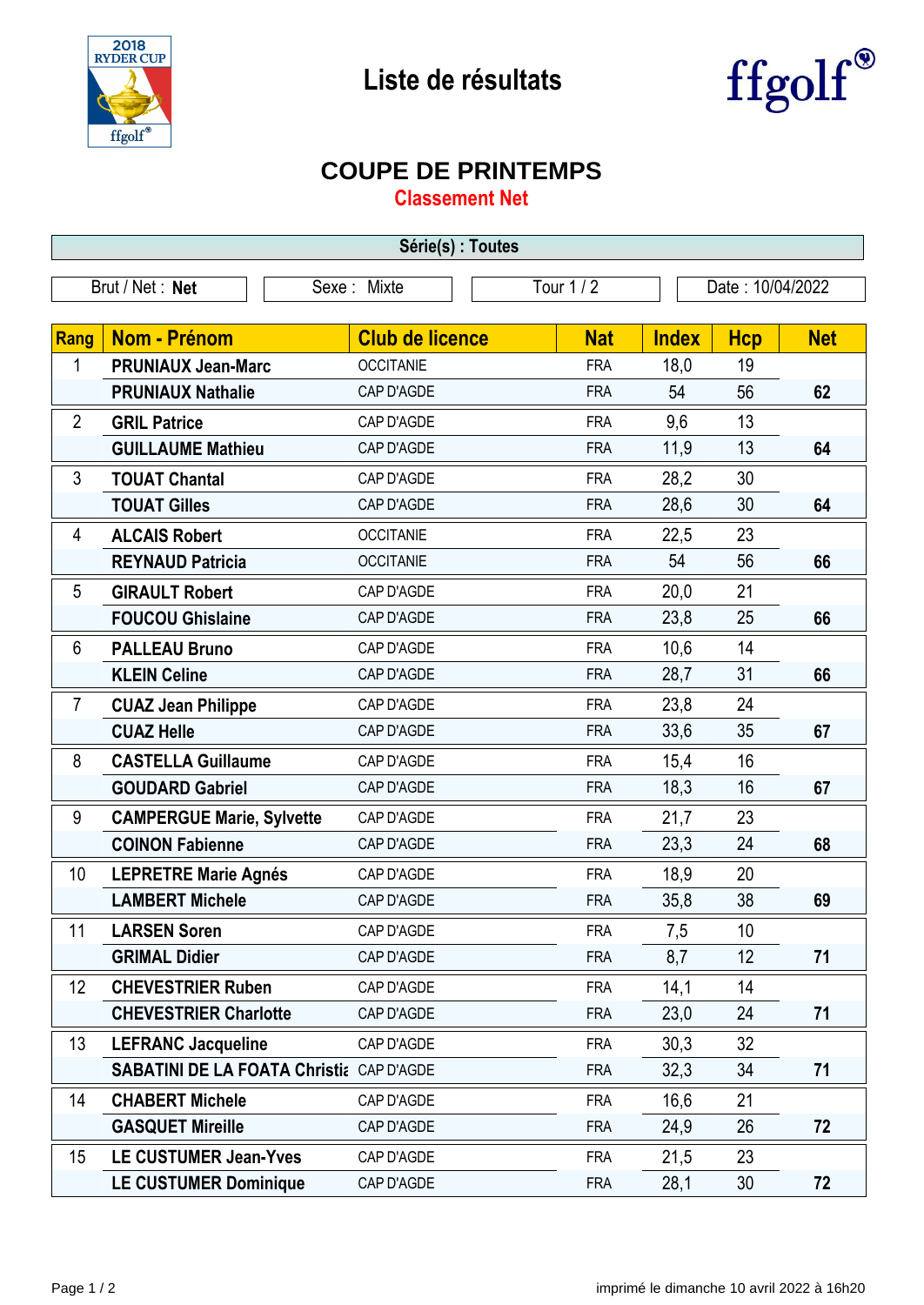

## **Liste de résultats**



## **COUPE DE PRINTEMPS**

**Classement Net**

| Série(s) : Toutes                                                     |                                                 |                        |            |              |            |            |  |  |  |
|-----------------------------------------------------------------------|-------------------------------------------------|------------------------|------------|--------------|------------|------------|--|--|--|
| <b>Tour 1/2</b><br>Brut / Net: Net<br>Sexe: Mixte<br>Date: 10/04/2022 |                                                 |                        |            |              |            |            |  |  |  |
|                                                                       |                                                 |                        |            |              |            |            |  |  |  |
| <b>Rang</b>                                                           | <b>Nom - Prénom</b>                             | <b>Club de licence</b> | <b>Nat</b> | <b>Index</b> | <b>Hcp</b> | <b>Net</b> |  |  |  |
| 1                                                                     | <b>PRUNIAUX Jean-Marc</b>                       | <b>OCCITANIE</b>       | <b>FRA</b> | 18,0         | 19         |            |  |  |  |
|                                                                       | <b>PRUNIAUX Nathalie</b>                        | CAP D'AGDE             | <b>FRA</b> | 54           | 56         | 62         |  |  |  |
| $\overline{2}$                                                        | <b>GRIL Patrice</b>                             | CAP D'AGDE             | <b>FRA</b> | 9,6          | 13         |            |  |  |  |
|                                                                       | <b>GUILLAUME Mathieu</b>                        | CAP D'AGDE             | <b>FRA</b> | 11,9         | 13         | 64         |  |  |  |
| 3                                                                     | <b>TOUAT Chantal</b>                            | CAP D'AGDE             | <b>FRA</b> | 28,2         | 30         |            |  |  |  |
|                                                                       | <b>TOUAT Gilles</b>                             | CAP D'AGDE             | <b>FRA</b> | 28,6         | 30         | 64         |  |  |  |
| 4                                                                     | <b>ALCAIS Robert</b>                            | <b>OCCITANIE</b>       | <b>FRA</b> | 22,5         | 23         |            |  |  |  |
|                                                                       | <b>REYNAUD Patricia</b>                         | <b>OCCITANIE</b>       | <b>FRA</b> | 54           | 56         | 66         |  |  |  |
| 5                                                                     | <b>GIRAULT Robert</b>                           | CAP D'AGDE             | <b>FRA</b> | 20,0         | 21         |            |  |  |  |
|                                                                       | <b>FOUCOU Ghislaine</b>                         | CAP D'AGDE             | <b>FRA</b> | 23,8         | 25         | 66         |  |  |  |
| 6                                                                     | <b>PALLEAU Bruno</b>                            | CAP D'AGDE             | <b>FRA</b> | 10,6         | 14         |            |  |  |  |
|                                                                       | <b>KLEIN Celine</b>                             | CAP D'AGDE             | <b>FRA</b> | 28,7         | 31         | 66         |  |  |  |
| $\overline{7}$                                                        | <b>CUAZ Jean Philippe</b>                       | CAP D'AGDE             | <b>FRA</b> | 23,8         | 24         |            |  |  |  |
|                                                                       | <b>CUAZ Helle</b>                               | CAP D'AGDE             | <b>FRA</b> | 33,6         | 35         | 67         |  |  |  |
| 8                                                                     | <b>CASTELLA Guillaume</b>                       | CAP D'AGDE             | <b>FRA</b> | 15,4         | 16         |            |  |  |  |
|                                                                       | <b>GOUDARD Gabriel</b>                          | CAP D'AGDE             | <b>FRA</b> | 18,3         | 16         | 67         |  |  |  |
| 9                                                                     | <b>CAMPERGUE Marie, Sylvette</b>                | CAP D'AGDE             | <b>FRA</b> | 21,7         | 23         |            |  |  |  |
|                                                                       | <b>COINON Fabienne</b>                          | CAP D'AGDE             | <b>FRA</b> | 23,3         | 24         | 68         |  |  |  |
| 10                                                                    | <b>LEPRETRE Marie Agnés</b>                     | CAP D'AGDE             | <b>FRA</b> | 18,9         | 20         |            |  |  |  |
|                                                                       | <b>LAMBERT Michele</b>                          | CAP D'AGDE             | <b>FRA</b> | 35,8         | 38         | 69         |  |  |  |
| 11                                                                    | <b>LARSEN Soren</b>                             | CAP D'AGDE             | <b>FRA</b> | 7,5          | 10         |            |  |  |  |
|                                                                       | <b>GRIMAL Didier</b>                            | CAP D'AGDE             | <b>FRA</b> | 8,7          | 12         | 71         |  |  |  |
| 12                                                                    | <b>CHEVESTRIER Ruben</b>                        | CAP D'AGDE             | <b>FRA</b> | 14,1         | 14         |            |  |  |  |
|                                                                       | <b>CHEVESTRIER Charlotte</b>                    | CAP D'AGDE             | <b>FRA</b> | 23,0         | 24         | 71         |  |  |  |
| 13                                                                    | <b>LEFRANC Jacqueline</b>                       | CAP D'AGDE             | <b>FRA</b> | 30,3         | 32         |            |  |  |  |
|                                                                       | <b>SABATINI DE LA FOATA Christia CAP D'AGDE</b> |                        | <b>FRA</b> | 32,3         | 34         | 71         |  |  |  |
| 14                                                                    | <b>CHABERT Michele</b>                          | CAP D'AGDE             | <b>FRA</b> | 16,6         | 21         |            |  |  |  |
|                                                                       | <b>GASQUET Mireille</b>                         | CAP D'AGDE             | <b>FRA</b> | 24,9         | 26         | 72         |  |  |  |
| 15                                                                    | <b>LE CUSTUMER Jean-Yves</b>                    | CAP D'AGDE             | <b>FRA</b> | 21,5         | 23         |            |  |  |  |
|                                                                       | <b>LE CUSTUMER Dominique</b>                    | CAP D'AGDE             | <b>FRA</b> | 28,1         | 30         | 72         |  |  |  |